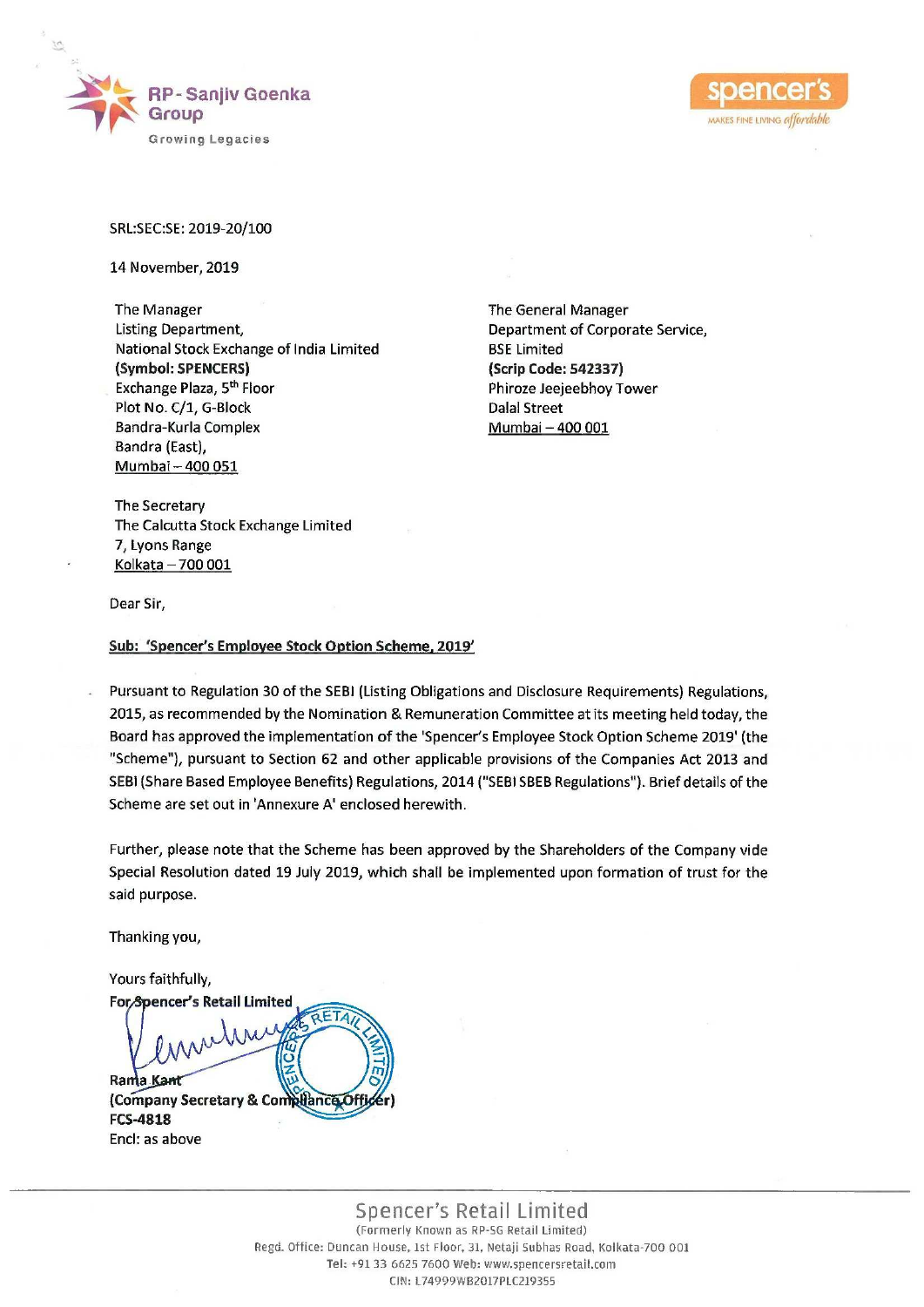



## SRL:SEC:SE: 2019-20/100

14 November, 2019

The Manager The Manager The General Manager Listing Department, Department of Corporate Service, National Stock Exchange of India Limited BSE Limited (Symbol: SPENCERS) {Scrip Code: 542337) Exchange Plaza, 5<sup>th</sup> Floor **Phiroze Jeejeebhoy Tower** Plot No. C/1, G-Block Dalal Street Bandra-Kurla Complex Mumbai – 400 001 Bandra (East), Mumbai — 400 051

The Secretary The Calcutta Stock Exchange Limited 7, Lyons Range Kolkata — 700 001

Dear Sir,

Sub: 'Spencer's Employee Stock Option Scheme, 2019'

Pursuant to Regulation 30 of the SEB! (Listing Obligations and Disclosure Requirements) Regulations, 2015, as recommended by the Nomination & Remuneration Committee at its meeting held today, the Board has approved the implementation of the 'Spencer's Employee Stock Option Scheme 2019' (the "Scheme"), pursuant to Section 62 and other applicable provisions of the Companies Act 2013 and SEBi (Share Based Employee Benefits) Regulations, 2014 ("SEBI SBEB Regulations"). Brief details of the Scheme are set out in 'Annexure A' enclosed herewith.

Further, please note that the Scheme has been approved by the Shareholders of the Company vide Special Resolution dated 19 July 2019, which shall be implemented upon formation of trust for the said purpose.

Thanking you,

Yours faithfully, ForSpencer's Retail Limited 高度 Rama Ka (Company Secretary & Co! FCS-4818 The Manager<br>
Listing Department,<br>
Listing Brazilients, Palon<br>
National Stock Exchange of India Limited<br>
(Symbol SPRACERS)<br>
Exchange Plaza, 5<sup>th</sup> Floor<br>
Plach (1,4 G-Block<br>
Bandra-Kurd, C/1, G-Block<br>
Bandra-Kurd, Consilar<br> Encl: as above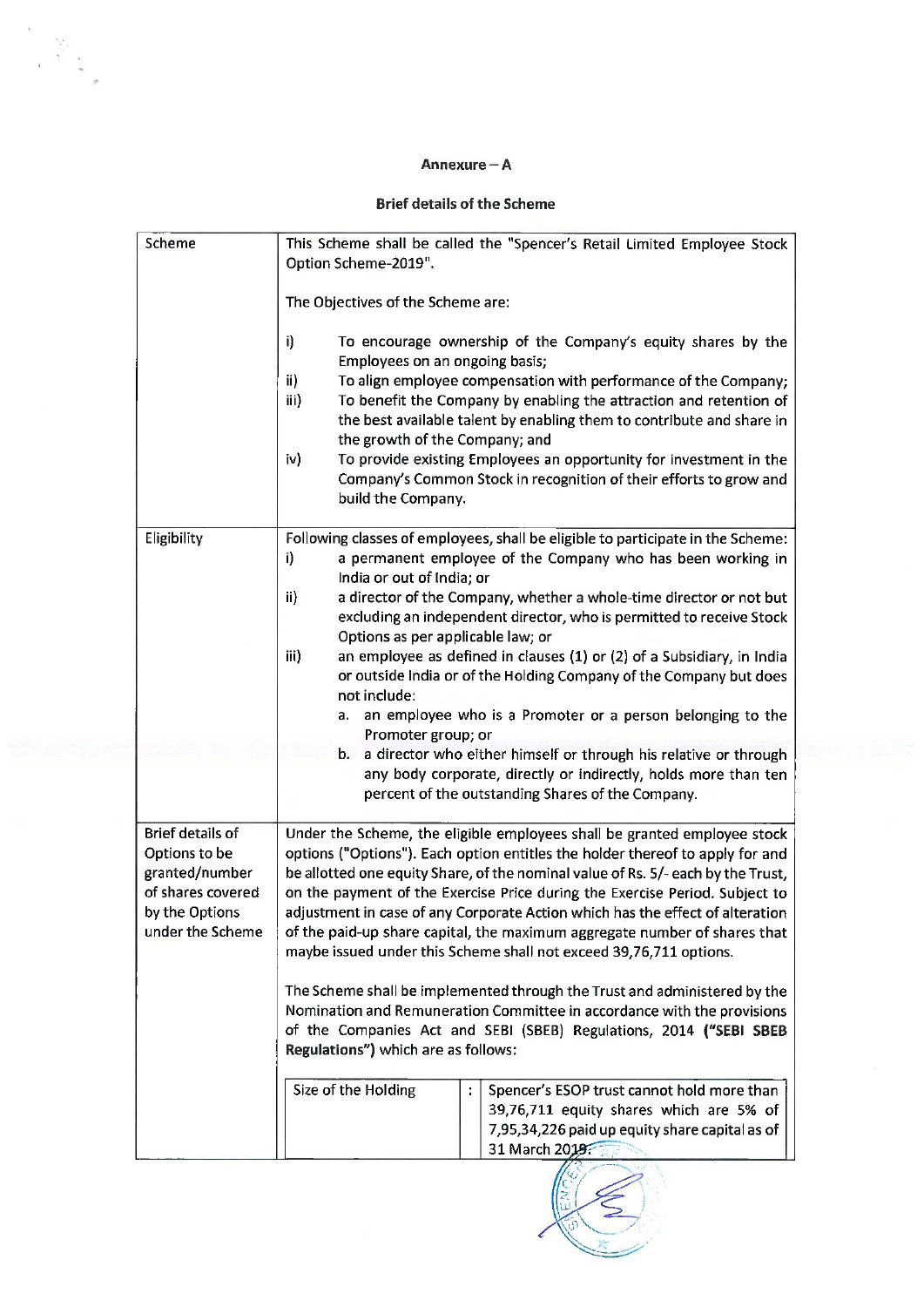## Annexure - A

## Brief details of the Scheme

|                                                                                                                       | Annexure – A                                                                                                                                                                                                                                                                                                                                                                                                                                                                                                                                                                                                                                                                                                                                                                                                                                                                                                                                                                                                                   |  |
|-----------------------------------------------------------------------------------------------------------------------|--------------------------------------------------------------------------------------------------------------------------------------------------------------------------------------------------------------------------------------------------------------------------------------------------------------------------------------------------------------------------------------------------------------------------------------------------------------------------------------------------------------------------------------------------------------------------------------------------------------------------------------------------------------------------------------------------------------------------------------------------------------------------------------------------------------------------------------------------------------------------------------------------------------------------------------------------------------------------------------------------------------------------------|--|
|                                                                                                                       | <b>Brief details of the Scheme</b>                                                                                                                                                                                                                                                                                                                                                                                                                                                                                                                                                                                                                                                                                                                                                                                                                                                                                                                                                                                             |  |
| Scheme                                                                                                                | This Scheme shall be called the "Spencer's Retail Limited Employee Stock<br>Option Scheme-2019".<br>The Objectives of the Scheme are:<br>i)<br>To encourage ownership of the Company's equity shares by the<br>Employees on an ongoing basis;<br>ii)<br>To align employee compensation with performance of the Company;<br>iii)<br>To benefit the Company by enabling the attraction and retention of<br>the best available talent by enabling them to contribute and share in<br>the growth of the Company; and<br>iv)<br>To provide existing Employees an opportunity for investment in the<br>Company's Common Stock in recognition of their efforts to grow and<br>build the Company.                                                                                                                                                                                                                                                                                                                                      |  |
| Eligibility                                                                                                           | Following classes of employees, shall be eligible to participate in the Scheme:<br>a permanent employee of the Company who has been working in<br>i)<br>India or out of India; or<br>ii)<br>a director of the Company, whether a whole-time director or not but<br>excluding an independent director, who is permitted to receive Stock<br>Options as per applicable law; or<br>iii)<br>an employee as defined in clauses (1) or (2) of a Subsidiary, in India<br>or outside India or of the Holding Company of the Company but does<br>not include:<br>an employee who is a Promoter or a person belonging to the<br>а.<br>Promoter group; or<br>b. a director who either himself or through his relative or through<br>any body corporate, directly or indirectly, holds more than ten<br>percent of the outstanding Shares of the Company.                                                                                                                                                                                  |  |
| <b>Brief details of</b><br>Options to be<br>granted/number<br>of shares covered<br>by the Options<br>under the Scheme | Under the Scheme, the eligible employees shall be granted employee stock<br>options ("Options"). Each option entitles the holder thereof to apply for and<br>be allotted one equity Share, of the nominal value of Rs. 5/- each by the Trust,<br>on the payment of the Exercise Price during the Exercise Period. Subject to<br>adjustment in case of any Corporate Action which has the effect of alteration<br>of the paid-up share capital, the maximum aggregate number of shares that<br>maybe issued under this Scheme shall not exceed 39,76,711 options.<br>The Scheme shall be implemented through the Trust and administered by the<br>Nomination and Remuneration Committee in accordance with the provisions<br>of the Companies Act and SEBI (SBEB) Regulations, 2014 ("SEBI SBEB<br>Regulations") which are as follows:<br>Size of the Holding<br>÷.<br>Spencer's ESOP trust cannot hold more than<br>39,76,711 equity shares which are 5% of<br>7,95,34,226 paid up equity share capital as of<br>31 March 2019 |  |